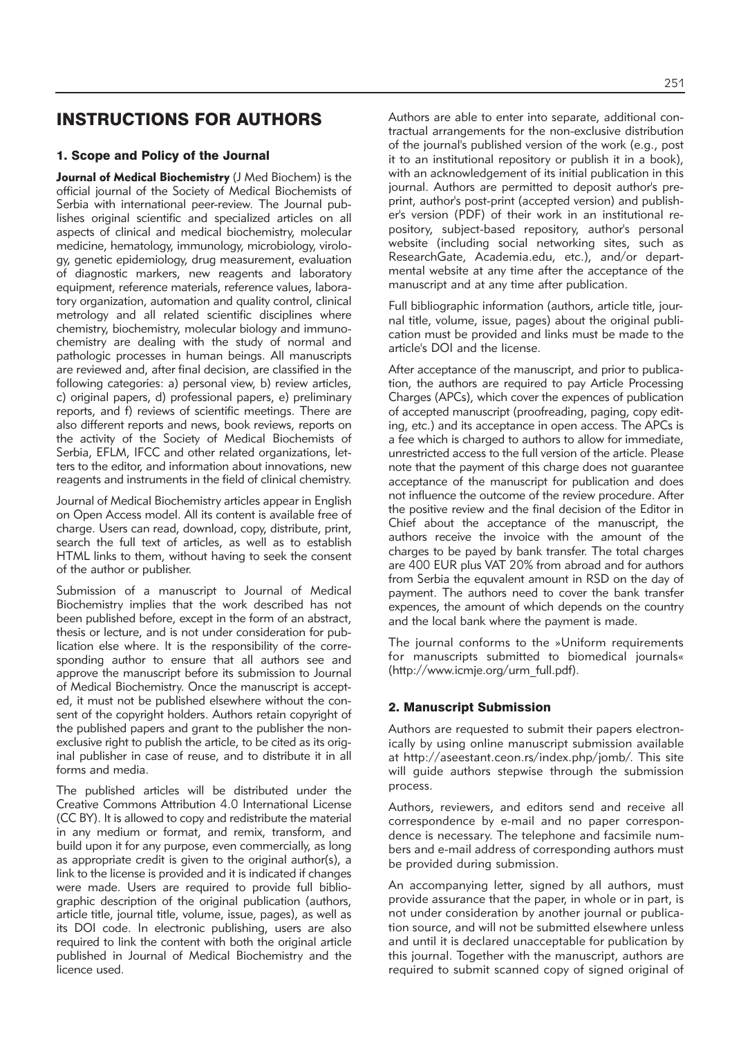# INSTRUCTIONS FOR AUTHORS

# 1. Scope and Policy of the Journal

**Journal of Medical Biochemistry** (J Med Biochem) is the official journal of the Society of Medical Biochemists of Serbia with international peer-review. The Journal publishes original scientific and specialized articles on all aspects of clinical and medical biochemistry, molecular medicine, hematology, immunology, microbiology, virology, genetic epidemiology, drug measurement, evaluation of diagnostic markers, new reagents and laboratory equipment, reference materials, reference values, laboratory organization, automation and quality control, clinical metrology and all related scientific disciplines where chemistry, biochemistry, molecular biology and immunochemistry are dealing with the study of normal and pathologic processes in human beings. All manuscripts are reviewed and, after final decision, are classified in the following categories: a) personal view, b) review articles, c) original papers, d) professional papers, e) preliminary reports, and f) reviews of scientific meetings. There are also different reports and news, book reviews, reports on the activity of the Society of Medical Biochemists of Serbia, EFLM, IFCC and other related organizations, letters to the editor, and information about innovations, new reagents and instruments in the field of clinical chemistry.

Journal of Medical Biochemistry articles appear in English on Open Access model. All its content is available free of charge. Users can read, download, copy, distribute, print, search the full text of articles, as well as to establish HTML links to them, without having to seek the consent of the author or publisher.

Submission of a manuscript to Journal of Medical Biochemistry implies that the work described has not been published before, except in the form of an abstract, thesis or lecture, and is not under consideration for publication else where. It is the responsibility of the corresponding author to ensure that all authors see and approve the manuscript before its submission to Journal of Medical Biochemistry. Once the manuscript is accepted, it must not be published elsewhere without the consent of the copyright holders. Authors retain copyright of the published papers and grant to the publisher the nonexclusive right to publish the article, to be cited as its original publisher in case of reuse, and to distribute it in all forms and media.

The published articles will be distributed under the Creative Commons Attribution 4.0 International License (CC BY). It is allowed to copy and redistribute the material in any medium or format, and remix, transform, and build upon it for any purpose, even commercially, as long as appropriate credit is given to the original author(s), a link to the license is provided and it is indicated if changes were made. Users are required to provide full bibliographic description of the original publication (authors, article title, journal title, volume, issue, pages), as well as its DOI code. In electronic publishing, users are also required to link the content with both the original article published in Journal of Medical Biochemistry and the licence used.

Authors are able to enter into separate, additional contractual arrangements for the non-exclusive distribution of the journal's published version of the work (e.g., post it to an institutional repository or publish it in a book), with an acknowledgement of its initial publication in this journal. Authors are permitted to deposit author's preprint, author's post-print (accepted version) and publisher's version (PDF) of their work in an institutional repository, subject-based repository, author's personal website (including social networking sites, such as ResearchGate, Academia.edu, etc.), and/or departmental website at any time after the acceptance of the manuscript and at any time after publication.

Full bibliographic information (authors, article title, journal title, volume, issue, pages) about the original publication must be provided and links must be made to the article's DOI and the license.

After acceptance of the manuscript, and prior to publication, the authors are required to pay Article Processing Charges (APCs), which cover the expences of publication of accepted manuscript (proofreading, paging, copy editing, etc.) and its acceptance in open access. The APCs is a fee which is charged to authors to allow for immediate, unrestricted access to the full version of the article. Please note that the payment of this charge does not guarantee acceptance of the manuscript for publication and does not influence the outcome of the review procedure. After the positive review and the final decision of the Editor in Chief about the acceptance of the manuscript, the authors receive the invoice with the amount of the charges to be payed by bank transfer. The total charges are 400 EUR plus VAT 20% from abroad and for authors from Serbia the equvalent amount in RSD on the day of payment. The authors need to cover the bank transfer expences, the amount of which depends on the country and the local bank where the payment is made.

The journal conforms to the »Uniform requirements for manuscripts submitted to biomedical journals« (http://www.icmje.org/urm\_full.pdf).

## 2. Manuscript Submission

Authors are requested to submit their papers electronically by using online manuscript submission available at http://aseestant.ceon.rs/index.php/jomb/. This site will guide authors stepwise through the submission process.

Authors, reviewers, and editors send and receive all correspondence by e-mail and no paper correspondence is necessary. The telephone and facsimile numbers and e-mail address of corresponding authors must be provided during submission.

An accompanying letter, signed by all authors, must provide assurance that the paper, in whole or in part, is not under consideration by another journal or publication source, and will not be submitted elsewhere unless and until it is declared unacceptable for publication by this journal. Together with the manuscript, authors are required to submit scanned copy of signed original of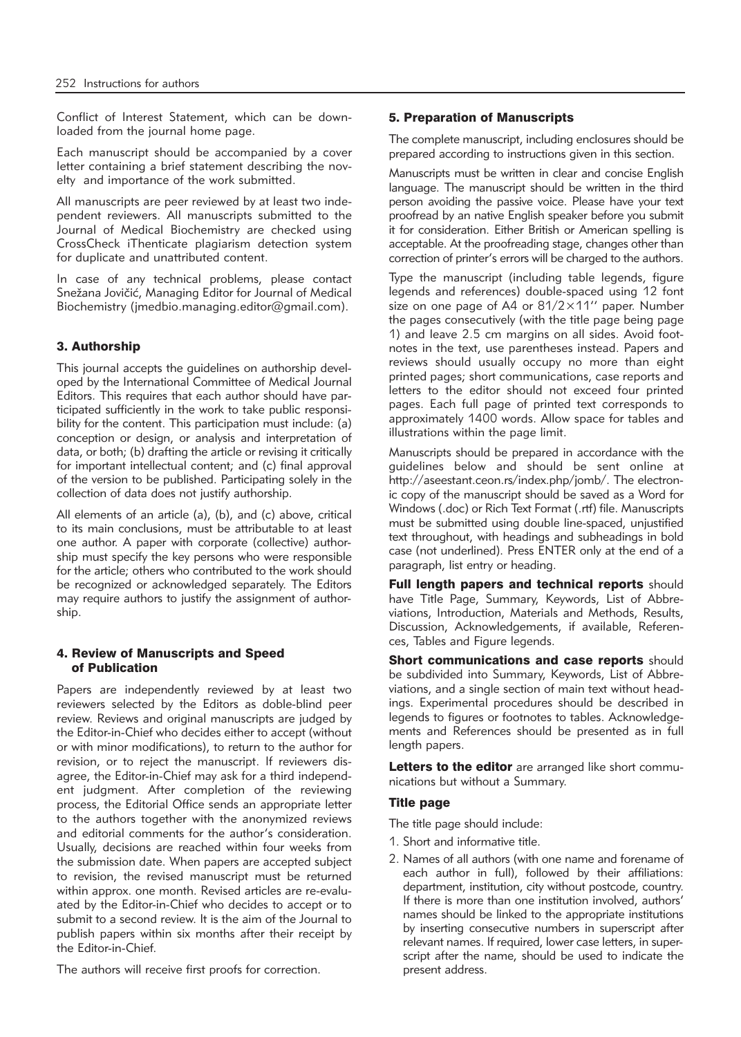Conflict of Interest Statement, which can be downloaded from the journal home page.

Each manuscript should be accompanied by a cover letter containing a brief statement describing the novelty and importance of the work submitted.

All manuscripts are peer reviewed by at least two independent reviewers. All manuscripts submitted to the Journal of Medical Biochemistry are checked using CrossCheck iThenticate plagiarism detection system for duplicate and unattributed content.

In case of any technical problems, please contact Snežana Jovičić, Managing Editor for Journal of Medical Biochemistry (jmedbio.managing.editor@gmail.com).

# 3. Authorship

This journal accepts the guidelines on authorship developed by the International Committee of Medical Journal Editors. This requires that each author should have participated sufficiently in the work to take public responsibility for the content. This participation must include: (a) conception or design, or analysis and interpretation of data, or both; (b) drafting the article or revising it critically for important intellectual content; and (c) final approval of the version to be published. Participating solely in the collection of data does not justify authorship.

All elements of an article (a), (b), and (c) above, critical to its main conclusions, must be attributable to at least one author. A paper with corporate (collective) authorship must specify the key persons who were responsible for the article; others who contributed to the work should be recognized or acknowledged separately. The Editors may require authors to justify the assignment of authorship.

#### 4. Review of Manuscripts and Speed of Publication

Papers are independently reviewed by at least two reviewers selected by the Editors as doble-blind peer review. Reviews and original manuscripts are judged by the Editor-in-Chief who decides either to accept (without or with minor modifications), to return to the author for revision, or to reject the manuscript. If reviewers disagree, the Editor-in-Chief may ask for a third independent judgment. After completion of the reviewing process, the Editorial Office sends an appropriate letter to the authors together with the anonymized reviews and editorial comments for the author's consideration. Usually, decisions are reached within four weeks from the submission date. When papers are accepted subject to revision, the revised manuscript must be returned within approx. one month. Revised articles are re-evaluated by the Editor-in-Chief who decides to accept or to submit to a second review. It is the aim of the Journal to publish papers within six months after their receipt by the Editor-in-Chief.

The authors will receive first proofs for correction.

## 5. Preparation of Manuscripts

The complete manuscript, including enclosures should be prepared according to instructions given in this section.

Manuscripts must be written in clear and concise English language. The manuscript should be written in the third person avoiding the passive voice. Please have your text proofread by an native English speaker before you submit it for consideration. Either British or American spelling is acceptable. At the proofreading stage, changes other than correction of printer's errors will be charged to the authors.

Type the manuscript (including table legends, figure legends and references) double-spaced using 12 font size on one page of A4 or 81/2×11'' paper. Number the pages consecutively (with the title page being page 1) and leave 2.5 cm margins on all sides. Avoid footnotes in the text, use parentheses instead. Papers and reviews should usually occupy no more than eight printed pages; short communications, case reports and letters to the editor should not exceed four printed pages. Each full page of printed text corresponds to approximately 1400 words. Allow space for tables and illustrations within the page limit.

Manuscripts should be prepared in accordance with the guidelines below and should be sent online at http://aseestant.ceon.rs/index.php/jomb/. The electronic copy of the manuscript should be saved as a Word for Windows (.doc) or Rich Text Format (.rtf) file. Manuscripts must be submitted using double line-spaced, unjustified text throughout, with headings and subheadings in bold case (not underlined). Press ENTER only at the end of a paragraph, list entry or heading.

Full length papers and technical reports should have Title Page, Summary, Keywords, List of Abbreviations, Introduction, Materials and Methods, Results, Discussion, Acknowledgements, if available, References, Tables and Figure legends.

Short communications and case reports should be subdivided into Summary, Keywords, List of Abbreviations, and a single section of main text without headings. Experimental procedures should be described in legends to figures or footnotes to tables. Acknowledgements and References should be presented as in full length papers.

Letters to the editor are arranged like short communications but without a Summary.

# Title page

The title page should include:

- 1. Short and informative title.
- 2. Names of all authors (with one name and forename of each author in full), followed by their affiliations: department, institution, city without postcode, country. If there is more than one institution involved, authors' names should be linked to the appropriate institutions by inserting consecutive numbers in superscript after relevant names. If required, lower case letters, in superscript after the name, should be used to indicate the present address.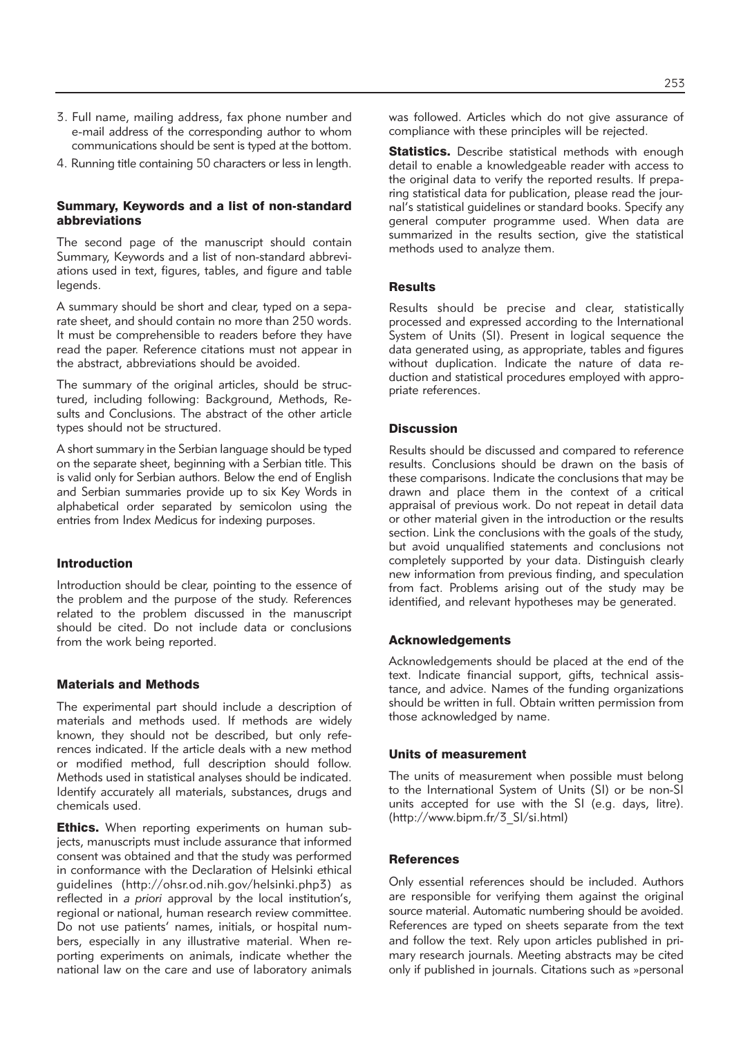- 3. Full name, mailing address, fax phone number and e-mail address of the corresponding author to whom communications should be sent is typed at the bottom.
- 4. Running title containing 50 characters or less in length.

## Summary, Keywords and a list of non-standard abbreviations

The second page of the manuscript should contain Summary, Keywords and a list of non-standard abbreviations used in text, figures, tables, and figure and table legends.

A summary should be short and clear, typed on a separate sheet, and should contain no more than 250 words. It must be comprehensible to readers before they have read the paper. Reference citations must not appear in the abstract, abbreviations should be avoided.

The summary of the original articles, should be structured, including following: Background, Methods, Results and Conclusions. The abstract of the other article types should not be structured.

A short summary in the Serbian language should be typed on the separate sheet, beginning with a Serbian title. This is valid only for Serbian authors. Below the end of English and Serbian summaries provide up to six Key Words in alphabetical order separated by semicolon using the entries from Index Medicus for indexing purposes.

#### Introduction

Introduction should be clear, pointing to the essence of the problem and the purpose of the study. References related to the problem discussed in the manuscript should be cited. Do not include data or conclusions from the work being reported.

## Materials and Methods

The experimental part should include a description of materials and methods used. If methods are widely known, they should not be described, but only references indicated. If the article deals with a new method or modified method, full description should follow. Methods used in statistical analyses should be indicated. Identify accurately all materials, substances, drugs and chemicals used.

**Ethics.** When reporting experiments on human subjects, manuscripts must include assurance that informed consent was obtained and that the study was performed in conformance with the Declaration of Helsinki ethical guidelines (http://ohsr.od.nih.gov/helsinki.php3) as reflected in *a priori* approval by the local institution's, regional or national, human research review committee. Do not use patients' names, initials, or hospital numbers, especially in any illustrative material. When reporting experiments on animals, indicate whether the national law on the care and use of laboratory animals was followed. Articles which do not give assurance of compliance with these principles will be rejected.

Statistics. Describe statistical methods with enough detail to enable a knowledgeable reader with access to the original data to verify the reported results. If preparing statistical data for publication, please read the journal's statistical guidelines or standard books. Specify any general computer programme used. When data are summarized in the results section, give the statistical methods used to analyze them.

#### **Results**

Results should be precise and clear, statistically processed and expressed according to the International System of Units (SI). Present in logical sequence the data generated using, as appropriate, tables and figures without duplication. Indicate the nature of data reduction and statistical procedures employed with appropriate references.

## **Discussion**

Results should be discussed and compared to reference results. Conclusions should be drawn on the basis of these comparisons. Indicate the conclusions that may be drawn and place them in the context of a critical appraisal of previous work. Do not repeat in detail data or other material given in the introduction or the results section. Link the conclusions with the goals of the study, but avoid unqualified statements and conclusions not completely supported by your data. Distinguish clearly new information from previous finding, and speculation from fact. Problems arising out of the study may be identified, and relevant hypotheses may be generated.

## Acknowledgements

Acknowledgements should be placed at the end of the text. Indicate financial support, gifts, technical assistance, and advice. Names of the funding organizations should be written in full. Obtain written permission from those acknowledged by name.

## Units of measurement

The units of measurement when possible must belong to the International System of Units (SI) or be non-SI units accepted for use with the SI (e.g. days, litre). (http://www.bipm.fr/3\_SI/si.html)

## **References**

Only essential references should be included. Authors are responsible for verifying them against the original source material. Automatic numbering should be avoided. References are typed on sheets separate from the text and follow the text. Rely upon articles published in primary research journals. Meeting abstracts may be cited only if published in journals. Citations such as »personal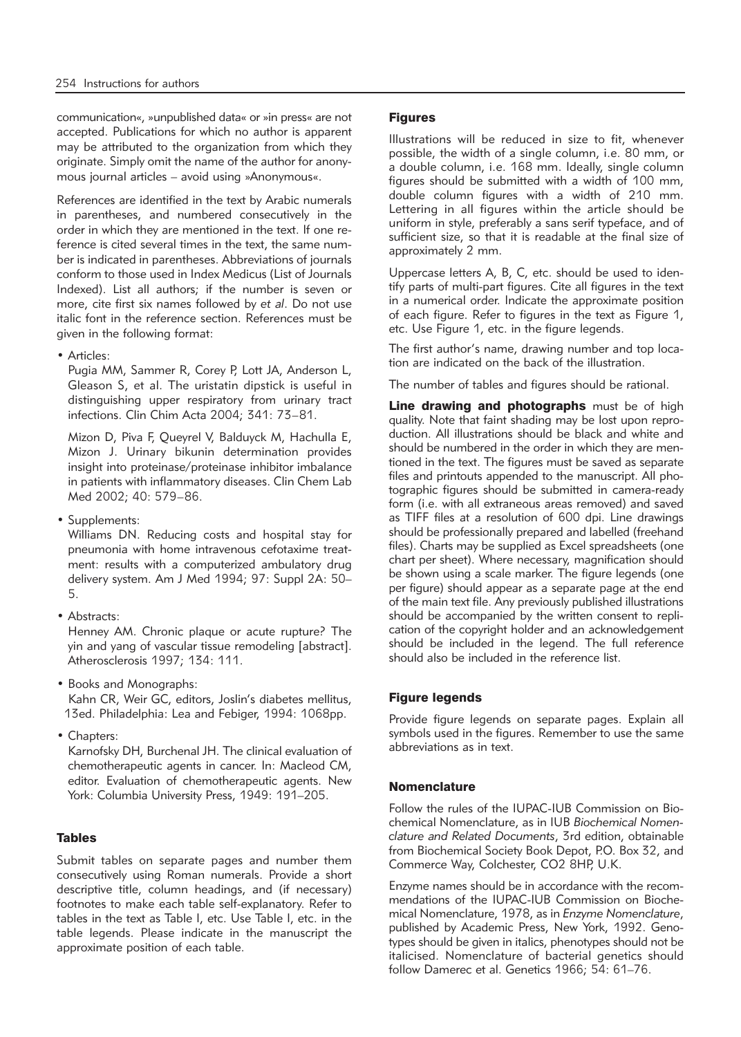communication«, »unpublished data« or »in press« are not accepted. Publications for which no author is apparent may be attributed to the organization from which they originate. Simply omit the name of the author for anonymous journal articles – avoid using »Anonymous«.

References are identified in the text by Arabic numerals in parentheses, and numbered consecutively in the order in which they are mentioned in the text. If one reference is cited several times in the text, the same number is indicated in parentheses. Abbreviations of journals conform to those used in Index Medicus (List of Journals Indexed). List all authors; if the number is seven or more, cite first six names followed by *et al*. Do not use italic font in the reference section. References must be given in the following format:

• Articles:

Pugia MM, Sammer R, Corey P, Lott JA, Anderson L, Gleason S, et al. The uristatin dipstick is useful in distinguishing upper respiratory from urinary tract infections. Clin Chim Acta 2004; 341: 73–81.

Mizon D, Piva F, Queyrel V, Balduyck M, Hachulla E, Mizon J. Urinary bikunin determination provides insight into proteinase/proteinase inhibitor imbalance in patients with inflammatory diseases. Clin Chem Lab Med 2002; 40: 579–86.

• Supplements:

Williams DN. Reducing costs and hospital stay for pneumonia with home intravenous cefotaxime treatment: results with a computerized ambulatory drug delivery system. Am J Med 1994; 97: Suppl 2A: 50– 5.

• Abstracts:

Henney AM. Chronic plaque or acute rupture? The yin and yang of vascular tissue remodeling [abstract]. Atherosclerosis 1997; 134: 111.

- Books and Monographs: Kahn CR, Weir GC, editors, Joslin's diabetes mellitus, 13ed. Philadelphia: Lea and Febiger, 1994: 1068pp.
- Chapters:

Karnofsky DH, Burchenal JH. The clinical evaluation of chemotherapeutic agents in cancer. In: Macleod CM, editor. Evaluation of chemotherapeutic agents. New York: Columbia University Press, 1949: 191–205.

# Tables

Submit tables on separate pages and number them consecutively using Roman numerals. Provide a short descriptive title, column headings, and (if necessary) footnotes to make each table self-explanatory. Refer to tables in the text as Table I, etc. Use Table I, etc. in the table legends. Please indicate in the manuscript the approximate position of each table.

#### **Figures**

Illustrations will be reduced in size to fit, whenever possible, the width of a single column, i.e. 80 mm, or a double column, i.e. 168 mm. Ideally, single column figures should be submitted with a width of 100 mm, double column figures with a width of 210 mm. Lettering in all figures within the article should be uniform in style, preferably a sans serif typeface, and of sufficient size, so that it is readable at the final size of approximately 2 mm.

Uppercase letters A, B, C, etc. should be used to identify parts of multi-part figures. Cite all figures in the text in a numerical order. Indicate the approximate position of each figure. Refer to figures in the text as Figure 1, etc. Use Figure 1, etc. in the figure legends.

The first author's name, drawing number and top location are indicated on the back of the illustration.

The number of tables and figures should be rational.

Line drawing and photographs must be of high quality. Note that faint shading may be lost upon reproduction. All illustrations should be black and white and should be numbered in the order in which they are mentioned in the text. The figures must be saved as separate files and printouts appended to the manuscript. All photographic figures should be submitted in camera-ready form (i.e. with all extraneous areas removed) and saved as TIFF files at a resolution of 600 dpi. Line drawings should be professionally prepared and labelled (freehand files). Charts may be supplied as Excel spreadsheets (one chart per sheet). Where necessary, magnification should be shown using a scale marker. The figure legends (one per figure) should appear as a separate page at the end of the main text file. Any previously published illustrations should be accompanied by the written consent to replication of the copyright holder and an acknowledgement should be included in the legend. The full reference should also be included in the reference list.

## Figure legends

Provide figure legends on separate pages. Explain all symbols used in the figures. Remember to use the same abbreviations as in text.

## Nomenclature

Follow the rules of the IUPAC-IUB Commission on Biochemical Nomenclature, as in IUB *Biochemical Nomen clature and Related Documents*, 3rd edition, obtainable from Biochemical Society Book Depot, P.O. Box 32, and Commerce Way, Colchester, CO2 8HP, U.K.

Enzyme names should be in accordance with the recommendations of the IUPAC-IUB Commission on Biochemical Nomenclature, 1978, as in *Enzyme Nomenclature*, published by Academic Press, New York, 1992. Genotypes should be given in italics, phenotypes should not be italicised. Nomenclature of bacterial genetics should follow Damerec et al. Genetics 1966; 54: 61–76.